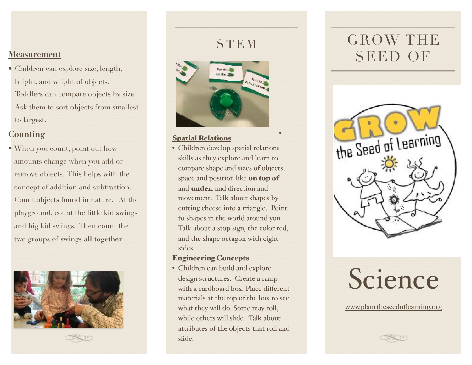• Children can explore size, length, height, and weight of objects. Toddlers can compare objects by size. Ask them to sort objects from smallest to largest.

#### **Counting**

• When you count, point out how amounts change when you add or remove objects. This helps with the concept of addition and subtraction. Count objects found in nature. At the playground, count the little kid swings and big kid swings. Then count the two groups of swings **all together**.



STEM



#### Spatial Relations

• Children develop spatial relations skills as they explore and learn to compare shape and sizes of objects, space and position like on top of and under, and direction and movement. Talk about shapes by cutting cheese into a triangle. Point to shapes in the world around you. Talk about a stop sign, the color red, and the shape octagon with eight sides.

#### Engineering Concepts

• Children can build and explore design structures. Create a ramp with a cardboard box. Place different materials at the top of the box to see what they will do. Some may roll, while others will slide. Talk about attributes of the objects that roll and slide.

# GROW THE SEED OF **Measurement**



# Science

[www.planttheseedoflearning.org](http://www.planttheseedoflearning.org)